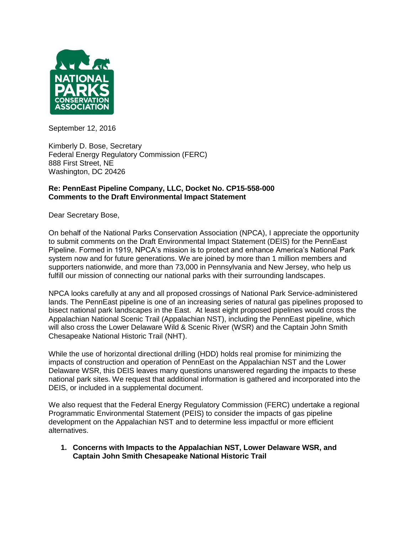

September 12, 2016

Kimberly D. Bose, Secretary Federal Energy Regulatory Commission (FERC) 888 First Street, NE Washington, DC 20426

## **Re: PennEast Pipeline Company, LLC, Docket No. CP15-558-000 Comments to the Draft Environmental Impact Statement**

Dear Secretary Bose,

On behalf of the National Parks Conservation Association (NPCA), I appreciate the opportunity to submit comments on the Draft Environmental Impact Statement (DEIS) for the PennEast Pipeline. Formed in 1919, NPCA's mission is to protect and enhance America's National Park system now and for future generations. We are joined by more than 1 million members and supporters nationwide, and more than 73,000 in Pennsylvania and New Jersey, who help us fulfill our mission of connecting our national parks with their surrounding landscapes.

NPCA looks carefully at any and all proposed crossings of National Park Service-administered lands. The PennEast pipeline is one of an increasing series of natural gas pipelines proposed to bisect national park landscapes in the East. At least eight proposed pipelines would cross the Appalachian National Scenic Trail (Appalachian NST), including the PennEast pipeline, which will also cross the Lower Delaware Wild & Scenic River (WSR) and the Captain John Smith Chesapeake National Historic Trail (NHT).

While the use of horizontal directional drilling (HDD) holds real promise for minimizing the impacts of construction and operation of PennEast on the Appalachian NST and the Lower Delaware WSR, this DEIS leaves many questions unanswered regarding the impacts to these national park sites. We request that additional information is gathered and incorporated into the DEIS, or included in a supplemental document.

We also request that the Federal Energy Regulatory Commission (FERC) undertake a regional Programmatic Environmental Statement (PEIS) to consider the impacts of gas pipeline development on the Appalachian NST and to determine less impactful or more efficient alternatives.

**1. Concerns with Impacts to the Appalachian NST, Lower Delaware WSR, and Captain John Smith Chesapeake National Historic Trail**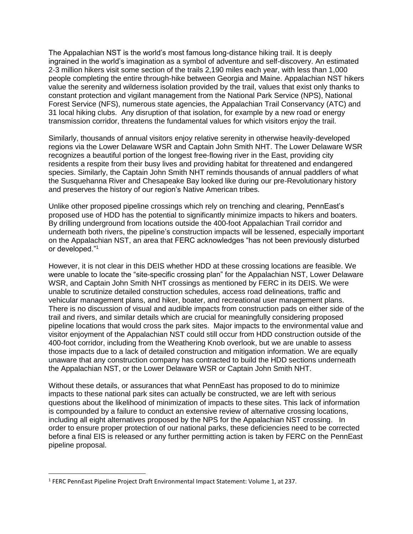The Appalachian NST is the world's most famous long-distance hiking trail. It is deeply ingrained in the world's imagination as a symbol of adventure and self-discovery. An estimated 2-3 million hikers visit some section of the trails 2,190 miles each year, with less than 1,000 people completing the entire through-hike between Georgia and Maine. Appalachian NST hikers value the serenity and wilderness isolation provided by the trail, values that exist only thanks to constant protection and vigilant management from the National Park Service (NPS), National Forest Service (NFS), numerous state agencies, the Appalachian Trail Conservancy (ATC) and 31 local hiking clubs. Any disruption of that isolation, for example by a new road or energy transmission corridor, threatens the fundamental values for which visitors enjoy the trail.

Similarly, thousands of annual visitors enjoy relative serenity in otherwise heavily-developed regions via the Lower Delaware WSR and Captain John Smith NHT. The Lower Delaware WSR recognizes a beautiful portion of the longest free-flowing river in the East, providing city residents a respite from their busy lives and providing habitat for threatened and endangered species. Similarly, the Captain John Smith NHT reminds thousands of annual paddlers of what the Susquehanna River and Chesapeake Bay looked like during our pre-Revolutionary history and preserves the history of our region's Native American tribes.

Unlike other proposed pipeline crossings which rely on trenching and clearing, PennEast's proposed use of HDD has the potential to significantly minimize impacts to hikers and boaters. By drilling underground from locations outside the 400-foot Appalachian Trail corridor and underneath both rivers, the pipeline's construction impacts will be lessened, especially important on the Appalachian NST, an area that FERC acknowledges "has not been previously disturbed or developed."<sup>1</sup>

However, it is not clear in this DEIS whether HDD at these crossing locations are feasible. We were unable to locate the "site-specific crossing plan" for the Appalachian NST, Lower Delaware WSR, and Captain John Smith NHT crossings as mentioned by FERC in its DEIS. We were unable to scrutinize detailed construction schedules, access road delineations, traffic and vehicular management plans, and hiker, boater, and recreational user management plans. There is no discussion of visual and audible impacts from construction pads on either side of the trail and rivers, and similar details which are crucial for meaningfully considering proposed pipeline locations that would cross the park sites. Major impacts to the environmental value and visitor enjoyment of the Appalachian NST could still occur from HDD construction outside of the 400-foot corridor, including from the Weathering Knob overlook, but we are unable to assess those impacts due to a lack of detailed construction and mitigation information. We are equally unaware that any construction company has contracted to build the HDD sections underneath the Appalachian NST, or the Lower Delaware WSR or Captain John Smith NHT.

Without these details, or assurances that what PennEast has proposed to do to minimize impacts to these national park sites can actually be constructed, we are left with serious questions about the likelihood of minimization of impacts to these sites. This lack of information is compounded by a failure to conduct an extensive review of alternative crossing locations, including all eight alternatives proposed by the NPS for the Appalachian NST crossing. In order to ensure proper protection of our national parks, these deficiencies need to be corrected before a final EIS is released or any further permitting action is taken by FERC on the PennEast pipeline proposal.

 $\overline{\phantom{a}}$ 

<sup>&</sup>lt;sup>1</sup> FERC PennEast Pipeline Project Draft Environmental Impact Statement: Volume 1, at 237.